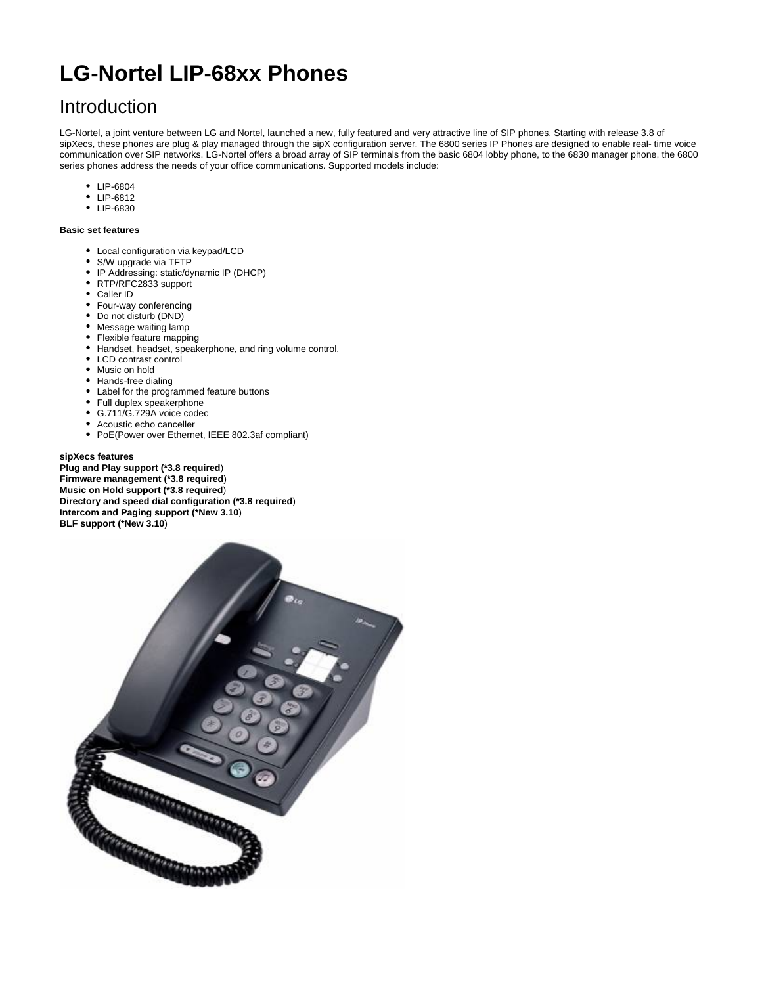# **LG-Nortel LIP-68xx Phones**

# Introduction

LG-Nortel, a joint venture between LG and Nortel, launched a new, fully featured and very attractive line of SIP phones. Starting with release 3.8 of sipXecs, these phones are plug & play managed through the sipX configuration server. The 6800 series IP Phones are designed to enable real- time voice communication over SIP networks. LG-Nortel offers a broad array of SIP terminals from the basic 6804 lobby phone, to the 6830 manager phone, the 6800 series phones address the needs of your office communications. Supported models include:

- LIP-6804
- LIP-6812
- LIP-6830

#### **Basic set features**

- Local configuration via keypad/LCD
- S/W upgrade via TFTP
- IP Addressing: static/dynamic IP (DHCP)
- RTP/RFC2833 support
- Caller ID
- Four-way conferencing
- Do not disturb (DND)
- Message waiting lamp
- Flexible feature mapping
- Handset, headset, speakerphone, and ring volume control.
- LCD contrast control
- Music on hold
- Hands-free dialing
- Label for the programmed feature buttons
- Full duplex speakerphone
- G.711/G.729A voice codec
- Acoustic echo canceller
- PoE(Power over Ethernet, IEEE 802.3af compliant)

#### **sipXecs features**

**Plug and Play support (\*3.8 required**) **Firmware management (\*3.8 required**) **Music on Hold support (\*3.8 required**) **Directory and speed dial configuration (\*3.8 required**) **Intercom and Paging support (\*New 3.10**) **BLF support (\*New 3.10**)

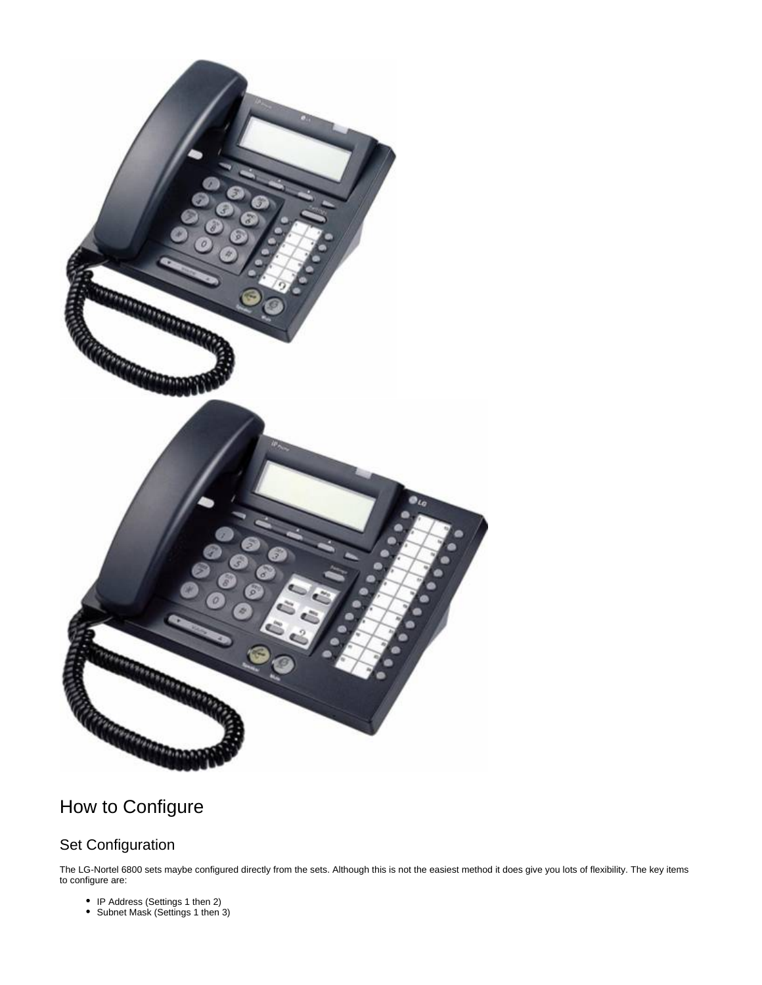

# How to Configure

## Set Configuration

The LG-Nortel 6800 sets maybe configured directly from the sets. Although this is not the easiest method it does give you lots of flexibility. The key items to configure are:

- IP Address (Settings 1 then 2)
- Subnet Mask (Settings 1 then 3)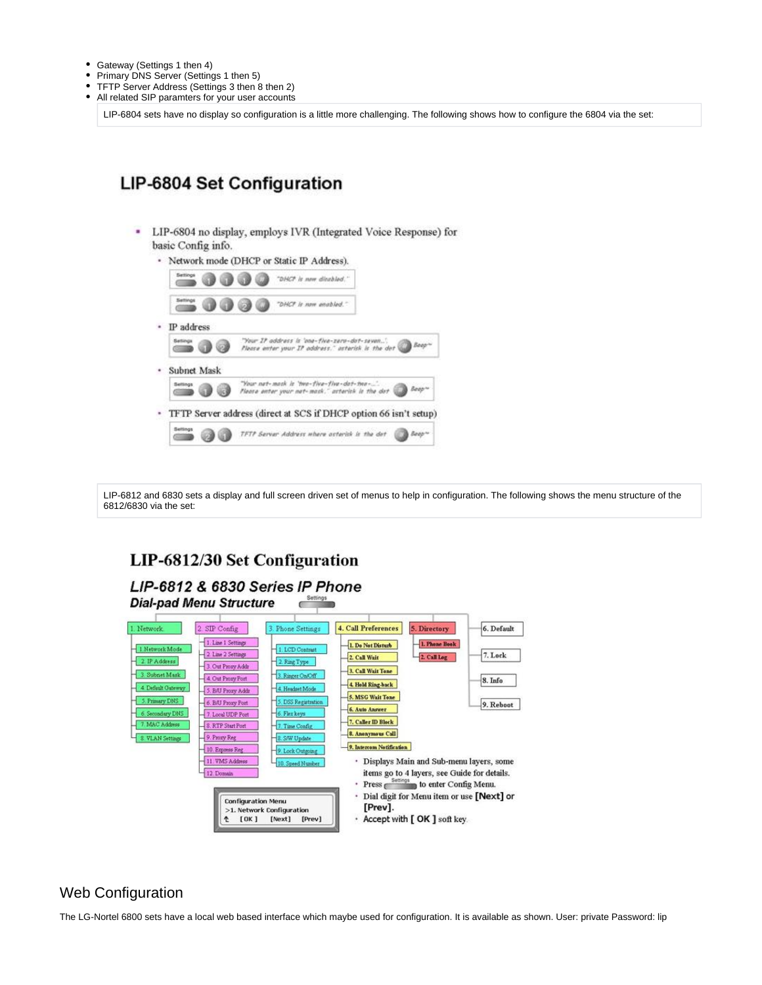- Gateway (Settings 1 then 4)
- $\bullet$ Primary DNS Server (Settings 1 then 5)
- TFTP Server Address (Settings 3 then 8 then 2)  $\bullet$
- $\bullet$ All related SIP paramters for your user accounts

LIP-6804 sets have no display so configuration is a little more challenging. The following shows how to configure the 6804 via the set:

## LIP-6804 Set Configuration

- LIP-6804 no display, employs IVR (Integrated Voice Response) for basic Config info.
	- · Network mode (DHCP or Static IP Address). "DHCP is new disabled.  $(10.000)$ -00 "DHCP is now enabled. · IP address "Your IP address is 'ane-five-zero-dot-seven..."<br>Please enter your IP address." asterisk is the dot -00 · Subnet Mask "Your nat-mask is 'two-five-five-dot-two-...'<br>Flease enter your net-mask," asterisk is the dot 6 0 Beech  $\sim$ TFTP Server address (direct at SCS if DHCP option 66 isn't setup) TFTP Server Address where asterisk is the det **B** top 63 G)  $\sim$

LIP-6812 and 6830 sets a display and full screen driven set of menus to help in configuration. The following shows the menu structure of the 6812/6830 via the set:

### **LIP-6812/30 Set Configuration**



#### Web Configuration

The LG-Nortel 6800 sets have a local web based interface which maybe used for configuration. It is available as shown. User: private Password: lip